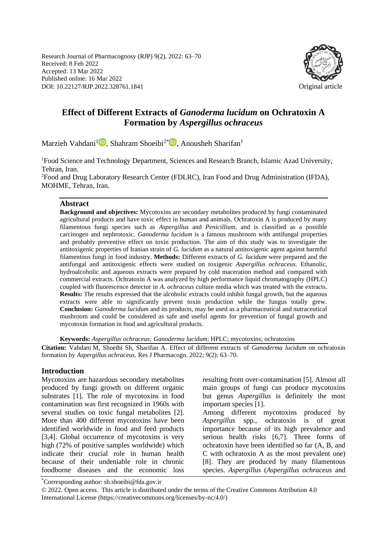Research Journal of Pharmacognosy (RJP) 9(2), 2022: 63–70 Received: 8 Feb 2022 Accepted: 13 Mar 2022 Published online: 16 Mar 2022 DOI: 10.22127/RJP.2022.328761.1841 Original article



# **Effect of Different Extracts of** *Ganoderma lucidum* **on Ochratoxin A Formation by** *Aspergillus ochraceus*

Marzieh Vahdani<sup>[1](https://orcid.org/0000-0002-5998-7693)</sup>D[,](https://orcid.org/0000-0002-5685-1213) Shahram Shoeibi<sup>2\*</sup>D, Anousheh Sharifan<sup>1</sup>

<sup>1</sup>Food Science and Technology Department, Sciences and Research Branch, Islamic Azad University, Tehran, Iran.

<sup>2</sup>Food and Drug Laboratory Research Center (FDLRC), Iran Food and Drug Administration (IFDA), MOHME, Tehran, Iran.

#### **Abstract**

**Background and objectives:** Mycotoxins are secondary metabolites produced by fungi contaminated agricultural products and have toxic effect in human and animals. Ochratoxin A is produced by many filamentous fungi species such as *Aspergillus* and *Penicillium,* and is classified as a possible carcinogen and nephrotoxic. *Ganoderma lucidum* is a famous mushroom with antifungal properties and probably preventive effect on toxin production. The aim of this study was to investigate the antitoxigenic properties of Iranian strain of *G. lucidum* as a natural antitoxigenic agent against harmful filamentous fungi in food industry. **Methods:** Different extracts of *G. lucidum* were prepared and the antifungal and antitoxigenic effects were studied on toxigenic *Aspergillus ochraceus*. Ethanolic, hydroalcoholic and aqueous extracts were prepared by cold maceration method and compared with commercial extracts. Ochratoxin A was analyzed by high performance liquid chromatography (HPLC) coupled with fluorescence detector in *A. ochraceus* culture media which was treated with the extracts. **Results:** The results expressed that the alcoholic extracts could inhibit fungal growth, but the aqueous extracts were able to significantly prevent toxin production while the fungus totally grew. **Conclusion:** *Ganoderma lucidum* and its products, may be used as a pharmaceutical and nutraceutical mushroom and could be considered as safe and useful agents for prevention of fungal growth and mycotoxin formation in food and agricultural products.

**Keywords:** *Aspergillus ochraceus; Ganoderma lucidum*; HPLC; mycotoxins; ochratoxins

**Citation:** Vahdani M, Shoeibi Sh, Sharifan A. Effect of different extracts of *Ganoderma lucidum* on ochratoxin formation by *Aspergillus ochraceus.* Res J Pharmacogn. 2022; 9(2): 63–70.

#### **Introduction**

Mycotoxins are hazardous secondary metabolites produced by fungi growth on different organic substrates [1]. The role of mycotoxins in food contamination was first recognized in 1960s with several studies on toxic fungal metabolites [2]. More than 400 different mycotoxins have been identified worldwide in food and feed products [3,4]. Global occurrence of mycotoxins is very high (72% of positive samples worldwide) which indicate their crucial role in human health because of their undeniable role in chronic foodborne diseases and the economic loss resulting from over-contamination [5]. Almost all main groups of fungi can produce mycotoxins but genus *Aspergillus* is definitely the most important species [1].

Among different mycotoxins produced by *Aspergillus* spp*.,* ochratoxin is of great importance because of its high prevalence and serious health risks [6,7]. Three forms of ochratoxin have been identified so far (A, B, and C with ochratoxin A as the most prevalent one) [8]. They are produced by many filamentous species. *Aspergillus* (*Aspergillus ochraceus* and

\*Corresponding author: sh.shoeibi@fda.gov.ir

© 2022. Open access. This article is distributed under the terms of the Creative Commons Attribution 4.0 International License (https://creativecommons.org/licenses/by-nc/4.0/)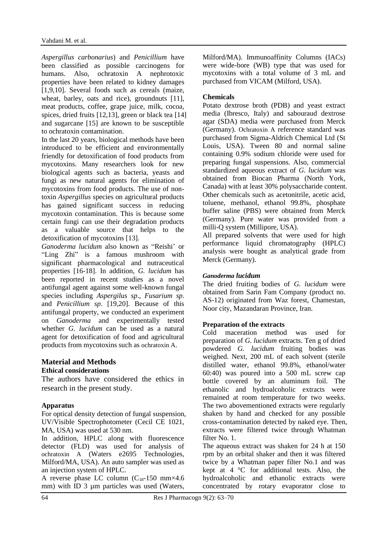*Aspergillus carbonarius*) and *Penicillium* have been classified as possible carcinogens for humans. Also, ochratoxin A nephrotoxic properties have been related to kidney damages [1,9,10]. Several foods such as cereals (maize, wheat, barley, oats and rice), groundnuts [11], meat products, coffee, grape juice, milk, cocoa, spices, dried fruits [12,13], green or black tea [14] and sugarcane [15] are known to be susceptible to ochratoxin contamination.

In the last 20 years, biological methods have been introduced to be efficient and environmentally friendly for detoxification of food products from mycotoxins. Many researchers look for new biological agents such as bacteria, yeasts and fungi as new natural agents for elimination of mycotoxins from food products. The use of nontoxin *Aspergillus* species on agricultural products has gained significant success in reducing mycotoxin contamination. This is because some certain fungi can use their degradation products as a valuable source that helps to the detoxification of mycotoxins [13].

*Ganoderma lucidum* also known as "Reishi' or "Ling Zhi" is a famous mushroom with significant pharmacological and nutraceutical properties [16-18]. In addition, *G. lucidum* has been reported in recent studies as a novel antifungal agent against some well-known fungal species including *Aspergilus sp*., *Fusarium sp*. and *Penicillium sp*. [19,20]. Because of this antifungal property, we conducted an experiment on *Ganoderma* and experimentally tested whether *G. lucidum* can be used as a natural agent for detoxification of food and agricultural products from mycotoxins such as ochratoxin A.

#### **Material and Methods Ethical considerations**

The authors have considered the ethics in research in the present study.

## **Apparatus**

For optical density detection of fungal suspension, UV/Visible Spectrophotometer (Cecil CE 1021, MA, USA) was used at 530 nm.

In addition, HPLC along with fluorescence detector (FLD) was used for analysis of ochratoxin A (Waters e2695 Technologies, Milford/MA, USA). An auto sampler was used as an injection system of HPLC.

A reverse phase LC column  $(C_{18}-150 \text{ mm} \times 4.6)$ mm) with ID 3 µm particles was used (Waters, Milford/MA). Immunoaffinity Columns (IACs) were wide-bore (WB) type that was used for mycotoxins with a total volume of 3 mL and purchased from VICAM (Milford, USA).

### **Chemicals**

Potato dextrose broth (PDB) and yeast extract media (Ibresco, Italy) and sabouraud dextrose agar (SDA) media were purchased from Merck (Germany). Ochratoxin A reference standard was purchased from Sigma-Aldrich Chemical Ltd (St Louis, USA). Tween 80 and normal saline containing 0.9% sodium chloride were used for preparing fungal suspensions. Also, commercial standardized aqueous extract of *G. lucidum* was obtained from Biocan Pharma (North York, Canada) with at least 30% polysaccharide content. Other chemicals such as acetonitrile, acetic acid, toluene, methanol, ethanol 99.8%, phosphate buffer saline (PBS) were obtained from Merck (Germany). Pure water was provided from a milli-Q system (Millipore, USA).

All prepared solvents that were used for high performance liquid chromatography (HPLC) analysis were bought as analytical grade from Merck (Germany).

### *Ganoderma lucidum*

The dried fruiting bodies of *G. lucidum* were obtained from Sarin Fam Company (product no. AS-12) originated from Waz forest, Chamestan, Noor city, Mazandaran Province, Iran.

### **Preparation of the extracts**

Cold maceration method was used for preparation of *G. lucidum* extracts. Ten g of dried powdered *G. lucidum* fruiting bodies was weighed. Next, 200 mL of each solvent (sterile distilled water, ethanol 99.8%, ethanol/water 60:40) was poured into a 500 mL screw cap bottle covered by an aluminum foil. The ethanolic and hydroalcoholic extracts were remained at room temperature for two weeks. The two abovementioned extracts were regularly shaken by hand and checked for any possible cross-contamination detected by naked eye. Then, extracts were filtered twice through Whatman filter No. 1.

The aqueous extract was shaken for 24 h at 150 rpm by an orbital shaker and then it was filtered twice by a Whatman paper filter No.1 and was kept at 4 °C for additional tests. Also, the hydroalcoholic and ethanolic extracts were concentrated by rotary evaporator close to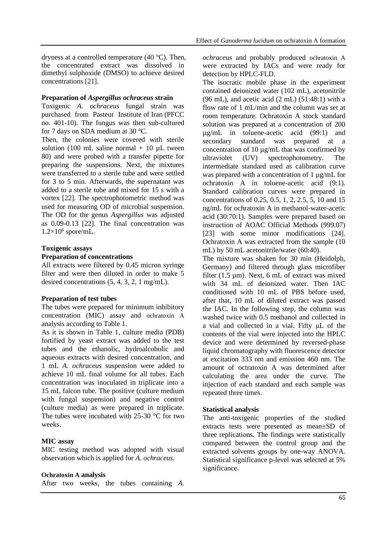dryness at a controlled temperature (40 °C). Then, the concentrated extract was dissolved in dimethyl sulphoxide (DMSO) to achieve desired concentrations [21].

#### **Preparation of** *Aspergillus ochraceus* **strain**

Toxigenic *A. ochraceus* fungal strain was purchased from Pasteur Institute of Iran (PFCC no. 401-10). The fungus was then sub-cultured for 7 days on SDA medium at 30 °C.

Then, the colonies were covered with sterile solution (100 mL saline normal  $+$  10  $\mu$ L tween 80) and were probed with a transfer pipette for preparing the suspensions. Next, the mixtures were transferred to a sterile tube and were settled for 3 to 5 min. Afterwards, the supernatant was added to a sterile tube and mixed for 15 s with a vortex [22]. The spectrophotometric method was used for measuring OD of microbial suspension. The OD for the genus *Aspergillus* was adjusted as 0.09-0.13 [22]. The final concentration was  $1.2\times10^6$  spore/mL.

### **Toxigenic assays**

#### **Preparation of concentrations**

All extracts were filtered by 0.45 micron syringe filter and were then diluted in order to make 5 desired concentrations (5, 4, 3, 2, 1 mg/mL).

#### **Preparation of test tubes**

The tubes were prepared for minimum inhibitory concentration (MIC) assay and ochratoxin A analysis according to Table 1.

As it is shown in Table 1, culture media (PDB) fortified by yeast extract was added to the test tubes and the ethanolic, hydroalcoholic and aqueous extracts with desired concentration, and 1 mL *A. ochraceus* suspension were added to achieve 10 mL final volume for all tubes. Each concentration was inoculated in triplicate into a 15 mL falcon tube. The positive (culture medium with fungal suspension) and negative control (culture media) as were prepared in triplicate. The tubes were incubated with 25-30 °C for two weeks.

### **MIC assay**

MIC testing method was adopted with visual observation which is applied for *A. ochraceus*.

#### **Ochratoxin A analysis**

After two weeks, the tubes containing *A.* 

*ochraceus* and probably produced ochratoxin A were extracted by IACs and were ready for detection by HPLC-FLD.

The isocratic mobile phase in the experiment contained deionized water (102 mL), acetonitrile  $(96 \text{ mL})$ , and acetic acid  $(2 \text{ mL})$   $(51:48:1)$  with a flow rate of 1 mL/min and the column was set at room temperature. Ochratoxin A stock standard solution was prepared at a concentration of 200 µg/mL in toluene-acetic acid (99:1) and secondary standard was prepared at a concentration of 10 µg/mL that was confirmed by ultraviolet (UV) spectrophotometry. The intermediate standard used as calibration curve was prepared with a concentration of 1 ug/mL for ochratoxin A in toluene-acetic acid (9:1). Standard calibration curves were prepared in concentrations of 0.25, 0.5, 1, 2, 2.5, 5, 10 and 15 ng/mL for ochratoxin A in methanol-water-acetic acid (30:70:1). Samples were prepared based on instruction of AOAC Official Methods (999.07) [23] with some minor modifications [24]. Ochratoxin A was extracted from the sample (10 mL) by 50 mL acetonitrile/water (60:40).

The mixture was shaken for 30 min (Heidolph, Germany) and filtered through glass microfiber filter (1.5 µm). Next, 6 mL of extract was mixed with 34 mL of deionized water. Then IAC conditioned with 10 mL of PBS before used, after that, 10 mL of diluted extract was passed the IAC. In the following step, the column was washed twice with 0.5 methanol and collected in a vial and collected in a vial. Fifty μL of the contents of the vial were injected into the HPLC device and were determined by reversed-phase liquid chromatography with fluorescence detector at excitation 333 nm and emission 460 nm. The amount of octratoxin A was determined after calculating the area under the curve. The injection of each standard and each sample was repeated three times.

### **Statistical analysis**

The anti-toxigenic properties of the studied extracts tests were presented as mean±SD of three replications. The findings were statistically compared between the control group and the extracted solvents groups by one-way ANOVA. Statistical significance p-level was selected at 5% significance.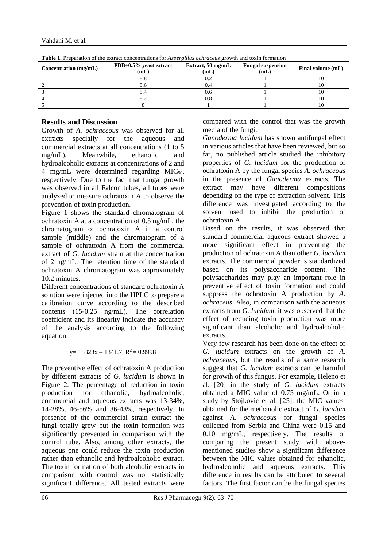| Table 1. Preparation of the extract concentrations for <i>Aspergillus ochraceus</i> growth and toxin formation |                                   |                           |                                  |                   |
|----------------------------------------------------------------------------------------------------------------|-----------------------------------|---------------------------|----------------------------------|-------------------|
| Concentration (mg/mL)                                                                                          | $PDB+0.5\%$ yeast extract<br>(mL) | Extract, 50 mg/mL<br>(mL) | <b>Fungal suspension</b><br>(mL) | Final volume (mL) |
|                                                                                                                |                                   |                           |                                  |                   |
|                                                                                                                |                                   |                           |                                  |                   |
|                                                                                                                |                                   |                           |                                  |                   |
|                                                                                                                |                                   |                           |                                  |                   |
|                                                                                                                |                                   |                           |                                  |                   |

Vahdani M. et al.

## **Results and Discussion**

Growth of *A. ochraceous* was observed for all extracts specially for the aqueous and commercial extracts at all concentrations (1 to 5 mg/mL). Meanwhile, ethanolic and hydroalcoholic extracts at concentrations of 2 and 4 mg/mL were determined regarding  $MIC<sub>50</sub>$ , respectively. Due to the fact that fungal growth was observed in all Falcon tubes, all tubes were analyzed to measure ochratoxin A to observe the prevention of toxin production.

Figure 1 shows the standard chromatogram of ochratoxin A at a concentration of 0.5 ng/mL, the chromatogram of ochratoxin A in a control sample (middle) and the chromatogram of a sample of ochratoxin A from the commercial extract of *G. lucidum* strain at the concentration of 2 ng/mL. The retention time of the standard ochratoxin A chromatogram was approximately 10.2 minutes.

Different concentrations of standard ochratoxin A solution were injected into the HPLC to prepare a calibration curve according to the described contents (15-0.25 ng/mL). The correlation coefficient and its linearity indicate the accuracy of the analysis according to the following equation:

### $y= 18323x - 1341.7$ ,  $R^2 = 0.9998$

The preventive effect of ochratoxin A production by different extracts of *G. lucidum* is shown in Figure 2. The percentage of reduction in toxin production for ethanolic, hydroalcoholic, commercial and aqueous extracts was 13-34%, 14-28%, 46-56% and 36-43%, respectively. In presence of the commercial strain extract the fungi totally grew but the toxin formation was significantly prevented in comparison with the control tube. Also, among other extracts, the aqueous one could reduce the toxin production rather than ethanolic and hydroalcoholic extract. The toxin formation of both alcoholic extracts in comparison with control was not statistically significant difference. All tested extracts were compared with the control that was the growth media of the fungi.

*Ganoderma lucidum* has shown antifungal effect in various articles that have been reviewed, but so far, no published article studied the inhibitory properties of *G. lucidum* for the production of ochratoxin A by the fungal species *A. ochraceous* in the presence of *Ganoderma* extracts. The extract may have different compositions depending on the type of extraction solvent. This difference was investigated according to the solvent used to inhibit the production of ochratoxin A.

Based on the results, it was observed that standard commercial aqueous extract showed a more significant effect in preventing the production of ochratoxin A than other *G. lucidum* extracts. The commercial powder is standardized based on its polysaccharide content. The polysaccharides may play an important role in preventive effect of toxin formation and could suppress the ochratoxin A production by *A. ochraceus*. Also, in comparison with the aqueous extracts from *G. lucidum*, it was observed that the effect of reducing toxin production was more significant than alcoholic and hydroalcoholic extracts.

Very few research has been done on the effect of *G. lucidum* extracts on the growth of *A. ochraceous*, but the results of a same research suggest that *G. lucidum* extracts can be harmful for growth of this fungus. For example, Heleno et al. [20] in the study of *G. lucidum* extracts obtained a MIC value of 0.75 mg/mL. Or in a study by Stojkovic et al. [25], the MIC values obtained for the methanolic extract of *G. lucidum* against *A. ochraceous* for fungal species collected from Serbia and China were 0.15 and 0.10 mg/mL, respectively. The results of comparing the present study with abovementioned studies show a significant difference between the MIC values obtained for ethanolic, hydroalcoholic and aqueous extracts. This difference in results can be attributed to several factors. The first factor can be the fungal species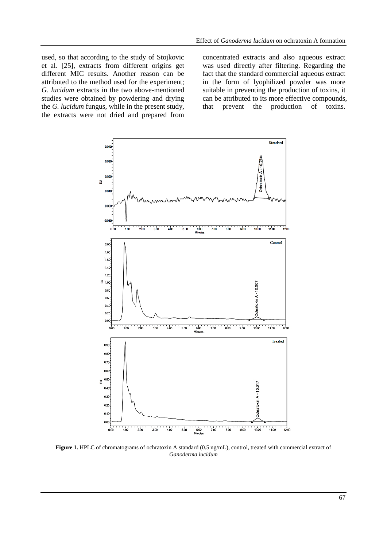used, so that according to the study of Stojkovic et al. [25], extracts from different origins get different MIC results. Another reason can be attributed to the method used for the experiment; *G. lucidum* extracts in the two above-mentioned studies were obtained by powdering and drying the *G. lucidum* fungus, while in the present study, the extracts were not dried and prepared from

concentrated extracts and also aqueous extract was used directly after filtering. Regarding the fact that the standard commercial aqueous extract in the form of lyophilized powder was more suitable in preventing the production of toxins, it can be attributed to its more effective compounds, that prevent the production of toxins.



**Figure 1.** HPLC of chromatograms of ochratoxin A standard (0.5 ng/mL), control, treated with commercial extract of *Ganoderma lucidum*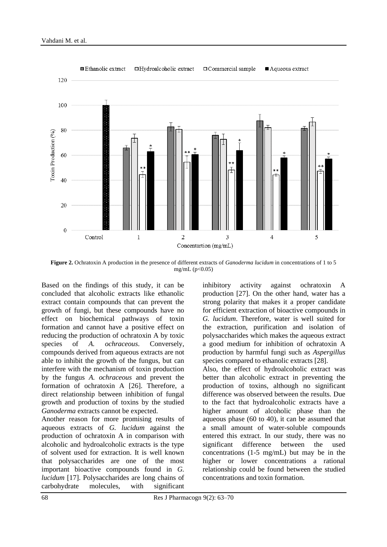

**Figure 2.** Ochratoxin A production in the presence of different extracts of *Ganoderma lucidum* in concentrations of 1 to 5 mg/mL  $(p<0.05)$ 

Based on the findings of this study, it can be concluded that alcoholic extracts like ethanolic extract contain compounds that can prevent the growth of fungi, but these compounds have no effect on biochemical pathways of toxin formation and cannot have a positive effect on reducing the production of ochratoxin A by toxic species of *A. ochraceous*. Conversely, compounds derived from aqueous extracts are not able to inhibit the growth of the fungus, but can interfere with the mechanism of toxin production by the fungus *A. ochraceous* and prevent the formation of ochratoxin A [26]. Therefore, a direct relationship between inhibition of fungal growth and production of toxins by the studied *Ganoderma* extracts cannot be expected.

Another reason for more promising results of aqueous extracts of *G. lucidum* against the production of ochratoxin A in comparison with alcoholic and hydroalcoholic extracts is the type of solvent used for extraction. It is well known that polysaccharides are one of the most important bioactive compounds found in *G. lucidum* [17]. Polysaccharides are long chains of carbohydrate molecules, with significant inhibitory activity against ochratoxin A production [27]. On the other hand, water has a strong polarity that makes it a proper candidate for efficient extraction of bioactive compounds in *G. lucidum*. Therefore, water is well suited for the extraction, purification and isolation of polysaccharides which makes the aqueous extract a good medium for inhibition of ochratoxin A production by harmful fungi such as *Aspergillus*  species compared to ethanolic extracts [28]. Also, the effect of hydroalcoholic extract was

better than alcoholic extract in preventing the production of toxins, although no significant difference was observed between the results. Due to the fact that hydroalcoholic extracts have a higher amount of alcoholic phase than the aqueous phase (60 to 40), it can be assumed that a small amount of water-soluble compounds entered this extract. In our study, there was no significant difference between the used concentrations (1-5 mg/mL) but may be in the higher or lower concentrations a rational relationship could be found between the studied concentrations and toxin formation.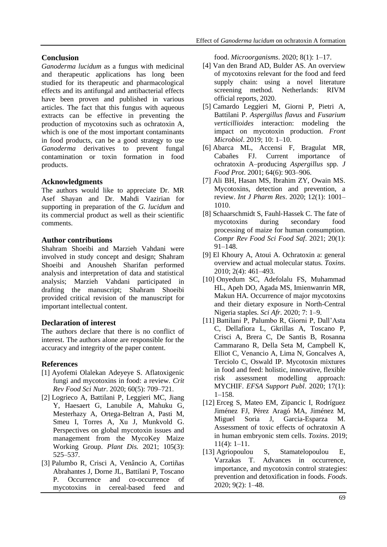## **Conclusion**

*Ganoderma lucidum* as a fungus with medicinal and therapeutic applications has long been studied for its therapeutic and pharmacological effects and its antifungal and antibacterial effects have been proven and published in various articles. The fact that this fungus with aqueous extracts can be effective in preventing the production of mycotoxins such as ochratoxin A, which is one of the most important contaminants in food products, can be a good strategy to use *Ganoderma* derivatives to prevent fungal contamination or toxin formation in food products.

## **Acknowledgments**

The authors would like to appreciate Dr. MR Asef Shayan and Dr. Mahdi Vazirian for supporting in preparation of the *G. lucidum* and its commercial product as well as their scientific comments.

## **Author contributions**

Shahram Shoeibi and Marzieh Vahdani were involved in study concept and design; Shahram Shoeibi and Anousheh Sharifan performed analysis and interpretation of data and statistical analysis; Marzieh Vahdani participated in drafting the manuscript; Shahram Shoeibi provided critical revision of the manuscript for important intellectual content.

## **Declaration of interest**

The authors declare that there is no conflict of interest. The authors alone are responsible for the accuracy and integrity of the paper content.

## **References**

- [1] Ayofemi Olalekan Adeyeye S. Aflatoxigenic fungi and mycotoxins in food: a review. *Crit Rev Food Sci Nutr*. 2020; 60(5): 709–721.
- [2] Logrieco A, Battilani P, Leggieri MC, Jiang Y, Haesaert G, Lanubile A, Mahuku G, Mesterhazy A, Ortega-Beltran A, Pasti M, Smeu I, Torres A, Xu J, Munkvold G. Perspectives on global mycotoxin issues and management from the MycoKey Maize Working Group. *Plant Dis.* 2021; 105(3): 525–537.
- [3] Palumbo R, Crisci A, Venâncio A, Cortiñas Abrahantes J, Dorne JL, Battilani P, Toscano P. Occurrence and co-occurrence of mycotoxins in cereal-based feed and

food. *Microorganisms*. 2020; 8(1): 1–17.

- [4] Van den Brand AD, Bulder AS. An overview of mycotoxins relevant for the food and feed supply chain: using a novel literature screening method. Netherlands: RIVM official reports, 2020.
- [5] Camardo Leggieri M, Giorni P, Pietri A, Battilani P. *Aspergillus flavus* and *Fusarium verticillioides* interaction: modeling the impact on mycotoxin production. *Front Microbiol*. 2019; 10: 1–10.
- [6] Abarca ML, Accensi F, Bragulat MR, Cabañes FJ. Current importance of ochratoxin A–producing *Aspergillus* spp. *J Food Prot*. 2001; 64(6): 903–906.
- [7] Ali BH, Hasan MS, Ibrahim ZY, Owain MS. Mycotoxins, detection and prevention, a review. *Int J Pharm Res*. 2020; 12(1): 1001– 1010.
- [8] Schaarschmidt S, Fauhl-Hassek C. The fate of mycotoxins during secondary food processing of maize for human consumption. *Compr Rev Food Sci Food Saf*. 2021; 20(1): 91–148.
- [9] El Khoury A, Atoui A. Ochratoxin a: general overview and actual molecular status. *Toxins*. 2010; 2(4): 461–493.
- [10] Onyedum SC, Adefolalu FS, Muhammad HL, Apeh DO, Agada MS, Imienwanrin MR, Makun HA. Occurrence of major mycotoxins and their dietary exposure in North-Central Nigeria staples. *Sci Afr*. 2020; 7: 1–9.
- [11] Battilani P, Palumbo R, Giorni P, Dall'Asta C, Dellafiora L, Gkrillas A, Toscano P, Crisci A, Brera C, De Santis B, Rosanna Cammarano R, Della Seta M, Campbell K, Elliot C, Venancio A, Lima N, Goncalves A, Terciolo C, Oswald IP. Mycotoxin mixtures in food and feed: holistic, innovative, flexible risk assessment modelling approach: MYCHIF. *EFSA Support Publ*. 2020; 17(1): 1–158.
- [12] Erceg S, Mateo EM, Zipancic I, Rodríguez Jiménez FJ, Pérez Aragó MA, Jiménez M, [Miguel Soria](https://www.ncbi.nlm.nih.gov/pubmed/?term=Soria%20JM%5BAuthor%5D&cauthor=true&cauthor_uid=30974856) J, Garcia-Esparza M. Assessment of toxic effects of ochratoxin A in human embryonic stem cells. *Toxins*. 2019; 11(4): 1–11.
- [13] Agriopoulou S, Stamatelopoulou E, Varzakas T. Advances in occurrence, importance, and mycotoxin control strategies: prevention and detoxification in foods. *Foods*. 2020; 9(2): 1–48.